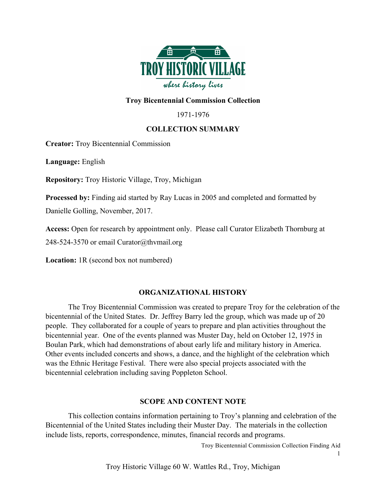

## **Troy Bicentennial Commission Collection**

1971-1976

### **COLLECTION SUMMARY**

**Creator:** Troy Bicentennial Commission

**Language:** English

**Repository:** Troy Historic Village, Troy, Michigan

**Processed by:** Finding aid started by Ray Lucas in 2005 and completed and formatted by

Danielle Golling, November, 2017.

**Access:** Open for research by appointment only. Please call Curator Elizabeth Thornburg at 248-524-3570 or email Curator@thvmail.org

**Location:** 1R (second box not numbered)

### **ORGANIZATIONAL HISTORY**

The Troy Bicentennial Commission was created to prepare Troy for the celebration of the bicentennial of the United States. Dr. Jeffrey Barry led the group, which was made up of 20 people. They collaborated for a couple of years to prepare and plan activities throughout the bicentennial year. One of the events planned was Muster Day, held on October 12, 1975 in Boulan Park, which had demonstrations of about early life and military history in America. Other events included concerts and shows, a dance, and the highlight of the celebration which was the Ethnic Heritage Festival. There were also special projects associated with the bicentennial celebration including saving Poppleton School.

#### **SCOPE AND CONTENT NOTE**

This collection contains information pertaining to Troy's planning and celebration of the Bicentennial of the United States including their Muster Day. The materials in the collection include lists, reports, correspondence, minutes, financial records and programs.

Troy Bicentennial Commission Collection Finding Aid

1